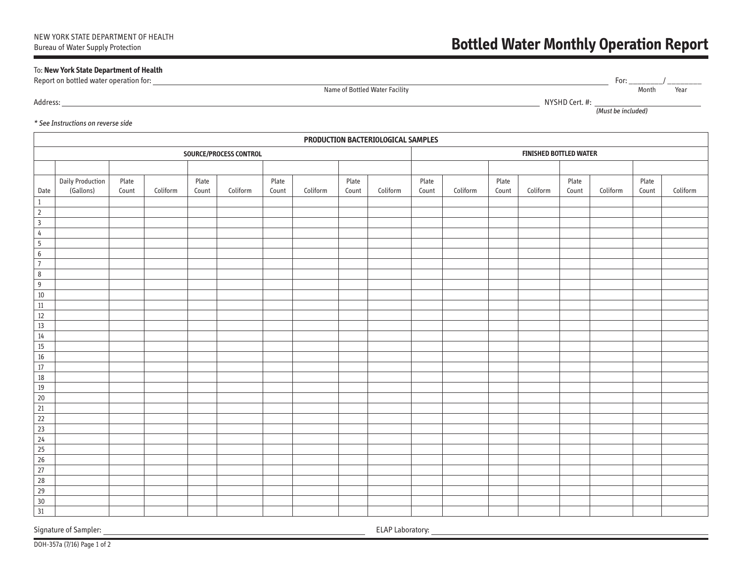# To: **New York State Department of Health**

Report on bottled water operation for: For: \_\_\_\_\_\_\_\_/ \_\_\_\_\_\_\_\_

Name of Bottled Water Facility Name of Bottled Water Facility Association of the Month Search of the Month Sear

Address: NYSHD Cert. #:

(Must be included)

### \* See Instructions on reverse side

|                  | PRODUCTION BACTERIOLOGICAL SAMPLES   |                |                        |                |          |                |          |                |          |                               |          |                |          |                |          |                |          |
|------------------|--------------------------------------|----------------|------------------------|----------------|----------|----------------|----------|----------------|----------|-------------------------------|----------|----------------|----------|----------------|----------|----------------|----------|
|                  |                                      |                | SOURCE/PROCESS CONTROL |                |          |                |          |                |          | <b>FINISHED BOTTLED WATER</b> |          |                |          |                |          |                |          |
|                  |                                      |                |                        |                |          |                |          |                |          |                               |          |                |          |                |          |                |          |
| Date             | <b>Daily Production</b><br>(Gallons) | Plate<br>Count | Coliform               | Plate<br>Count | Coliform | Plate<br>Count | Coliform | Plate<br>Count | Coliform | Plate<br>Count                | Coliform | Plate<br>Count | Coliform | Plate<br>Count | Coliform | Plate<br>Count | Coliform |
| $\mathbf{1}$     |                                      |                |                        |                |          |                |          |                |          |                               |          |                |          |                |          |                |          |
| $\mathbf 2$      |                                      |                |                        |                |          |                |          |                |          |                               |          |                |          |                |          |                |          |
| $\overline{3}$   |                                      |                |                        |                |          |                |          |                |          |                               |          |                |          |                |          |                |          |
| $\sqrt{4}$       |                                      |                |                        |                |          |                |          |                |          |                               |          |                |          |                |          |                |          |
| $5\overline{)}$  |                                      |                |                        |                |          |                |          |                |          |                               |          |                |          |                |          |                |          |
| $\boldsymbol{6}$ |                                      |                |                        |                |          |                |          |                |          |                               |          |                |          |                |          |                |          |
| $\overline{7}$   |                                      |                |                        |                |          |                |          |                |          |                               |          |                |          |                |          |                |          |
| 8                |                                      |                |                        |                |          |                |          |                |          |                               |          |                |          |                |          |                |          |
| 9                |                                      |                |                        |                |          |                |          |                |          |                               |          |                |          |                |          |                |          |
| $10\,$           |                                      |                |                        |                |          |                |          |                |          |                               |          |                |          |                |          |                |          |
| $11\,$           |                                      |                |                        |                |          |                |          |                |          |                               |          |                |          |                |          |                |          |
| $12\,$           |                                      |                |                        |                |          |                |          |                |          |                               |          |                |          |                |          |                |          |
| $13\,$           |                                      |                |                        |                |          |                |          |                |          |                               |          |                |          |                |          |                |          |
| $14$             |                                      |                |                        |                |          |                |          |                |          |                               |          |                |          |                |          |                |          |
| $15\,$           |                                      |                |                        |                |          |                |          |                |          |                               |          |                |          |                |          |                |          |
| $16\,$           |                                      |                |                        |                |          |                |          |                |          |                               |          |                |          |                |          |                |          |
| $17\,$           |                                      |                |                        |                |          |                |          |                |          |                               |          |                |          |                |          |                |          |
| $18\,$           |                                      |                |                        |                |          |                |          |                |          |                               |          |                |          |                |          |                |          |
| $19\,$           |                                      |                |                        |                |          |                |          |                |          |                               |          |                |          |                |          |                |          |
| $20\,$           |                                      |                |                        |                |          |                |          |                |          |                               |          |                |          |                |          |                |          |
| 21               |                                      |                |                        |                |          |                |          |                |          |                               |          |                |          |                |          |                |          |
| 22               |                                      |                |                        |                |          |                |          |                |          |                               |          |                |          |                |          |                |          |
| 23               |                                      |                |                        |                |          |                |          |                |          |                               |          |                |          |                |          |                |          |
| $\overline{24}$  |                                      |                |                        |                |          |                |          |                |          |                               |          |                |          |                |          |                |          |
| $\overline{25}$  |                                      |                |                        |                |          |                |          |                |          |                               |          |                |          |                |          |                |          |
| $\overline{26}$  |                                      |                |                        |                |          |                |          |                |          |                               |          |                |          |                |          |                |          |
| $\overline{27}$  |                                      |                |                        |                |          |                |          |                |          |                               |          |                |          |                |          |                |          |
| 28               |                                      |                |                        |                |          |                |          |                |          |                               |          |                |          |                |          |                |          |
| 29               |                                      |                |                        |                |          |                |          |                |          |                               |          |                |          |                |          |                |          |
| $30\,$           |                                      |                |                        |                |          |                |          |                |          |                               |          |                |          |                |          |                |          |
| 31               |                                      |                |                        |                |          |                |          |                |          |                               |          |                |          |                |          |                |          |

Signature of Sampler: ELAP Laboratory: ELAP Laboratory: